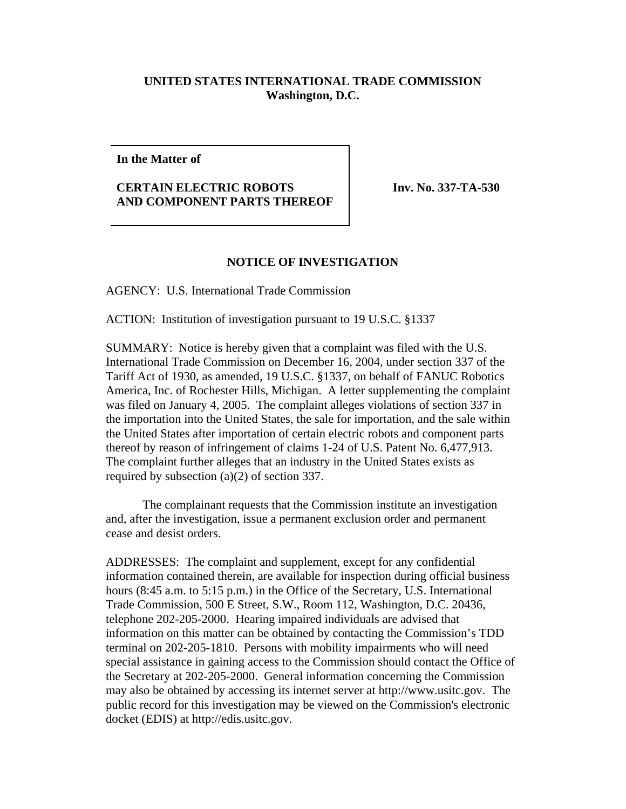## **UNITED STATES INTERNATIONAL TRADE COMMISSION Washington, D.C.**

## **In the Matter of**

## **CERTAIN ELECTRIC ROBOTS AND COMPONENT PARTS THEREOF**

**Inv. No. 337-TA-530** 

## **NOTICE OF INVESTIGATION**

AGENCY: U.S. International Trade Commission

ACTION: Institution of investigation pursuant to 19 U.S.C. §1337

SUMMARY: Notice is hereby given that a complaint was filed with the U.S. International Trade Commission on December 16, 2004, under section 337 of the Tariff Act of 1930, as amended, 19 U.S.C. §1337, on behalf of FANUC Robotics America, Inc. of Rochester Hills, Michigan. A letter supplementing the complaint was filed on January 4, 2005. The complaint alleges violations of section 337 in the importation into the United States, the sale for importation, and the sale within the United States after importation of certain electric robots and component parts thereof by reason of infringement of claims 1-24 of U.S. Patent No. 6,477,913. The complaint further alleges that an industry in the United States exists as required by subsection (a)(2) of section 337.

The complainant requests that the Commission institute an investigation and, after the investigation, issue a permanent exclusion order and permanent cease and desist orders.

ADDRESSES: The complaint and supplement, except for any confidential information contained therein, are available for inspection during official business hours (8:45 a.m. to 5:15 p.m.) in the Office of the Secretary, U.S. International Trade Commission, 500 E Street, S.W., Room 112, Washington, D.C. 20436, telephone 202-205-2000. Hearing impaired individuals are advised that information on this matter can be obtained by contacting the Commission's TDD terminal on 202-205-1810. Persons with mobility impairments who will need special assistance in gaining access to the Commission should contact the Office of the Secretary at 202-205-2000. General information concerning the Commission may also be obtained by accessing its internet server at http://www.usitc.gov. The public record for this investigation may be viewed on the Commission's electronic docket (EDIS) at http://edis.usitc.gov.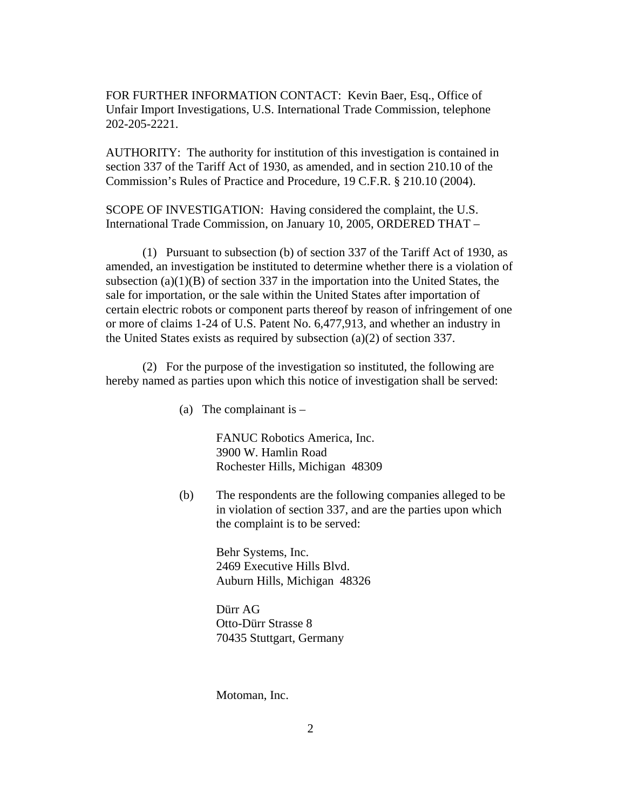FOR FURTHER INFORMATION CONTACT: Kevin Baer, Esq., Office of Unfair Import Investigations, U.S. International Trade Commission, telephone 202-205-2221.

AUTHORITY: The authority for institution of this investigation is contained in section 337 of the Tariff Act of 1930, as amended, and in section 210.10 of the Commission's Rules of Practice and Procedure, 19 C.F.R. § 210.10 (2004).

SCOPE OF INVESTIGATION: Having considered the complaint, the U.S. International Trade Commission, on January 10, 2005, ORDERED THAT –

(1) Pursuant to subsection (b) of section 337 of the Tariff Act of 1930, as amended, an investigation be instituted to determine whether there is a violation of subsection  $(a)(1)(B)$  of section 337 in the importation into the United States, the sale for importation, or the sale within the United States after importation of certain electric robots or component parts thereof by reason of infringement of one or more of claims 1-24 of U.S. Patent No. 6,477,913, and whether an industry in the United States exists as required by subsection (a)(2) of section 337.

(2) For the purpose of the investigation so instituted, the following are hereby named as parties upon which this notice of investigation shall be served:

(a) The complainant is  $-$ 

FANUC Robotics America, Inc. 3900 W. Hamlin Road Rochester Hills, Michigan 48309

(b) The respondents are the following companies alleged to be in violation of section 337, and are the parties upon which the complaint is to be served:

> Behr Systems, Inc. 2469 Executive Hills Blvd. Auburn Hills, Michigan 48326

Dürr AG Otto-Dürr Strasse 8 70435 Stuttgart, Germany

Motoman, Inc.